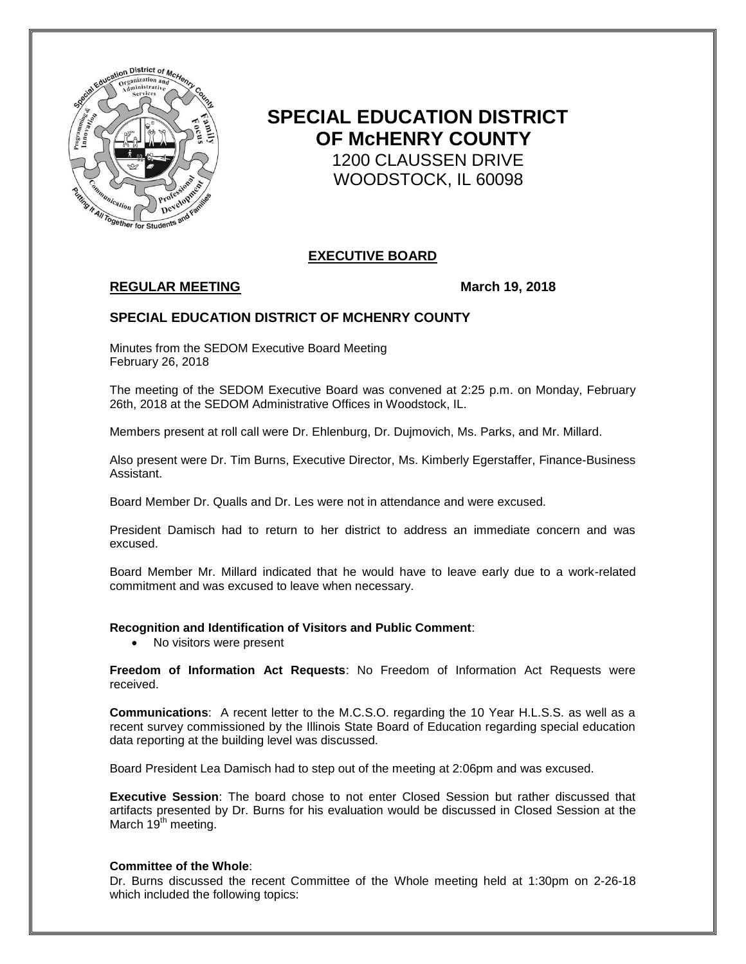

# **SPECIAL EDUCATION DISTRICT OF McHENRY COUNTY** 1200 CLAUSSEN DRIVE WOODSTOCK, IL 60098

# **EXECUTIVE BOARD**

# **REGULAR MEETING March 19, 2018**

## **SPECIAL EDUCATION DISTRICT OF MCHENRY COUNTY**

Minutes from the SEDOM Executive Board Meeting February 26, 2018

The meeting of the SEDOM Executive Board was convened at 2:25 p.m. on Monday, February 26th, 2018 at the SEDOM Administrative Offices in Woodstock, IL.

Members present at roll call were Dr. Ehlenburg, Dr. Dujmovich, Ms. Parks, and Mr. Millard.

Also present were Dr. Tim Burns, Executive Director, Ms. Kimberly Egerstaffer, Finance-Business Assistant.

Board Member Dr. Qualls and Dr. Les were not in attendance and were excused.

President Damisch had to return to her district to address an immediate concern and was excused.

Board Member Mr. Millard indicated that he would have to leave early due to a work-related commitment and was excused to leave when necessary.

#### **Recognition and Identification of Visitors and Public Comment**:

• No visitors were present

**Freedom of Information Act Requests**: No Freedom of Information Act Requests were received.

**Communications**: A recent letter to the M.C.S.O. regarding the 10 Year H.L.S.S. as well as a recent survey commissioned by the Illinois State Board of Education regarding special education data reporting at the building level was discussed.

Board President Lea Damisch had to step out of the meeting at 2:06pm and was excused.

**Executive Session**: The board chose to not enter Closed Session but rather discussed that artifacts presented by Dr. Burns for his evaluation would be discussed in Closed Session at the March  $19<sup>th</sup>$  meeting.

#### **Committee of the Whole**:

Dr. Burns discussed the recent Committee of the Whole meeting held at 1:30pm on 2-26-18 which included the following topics: